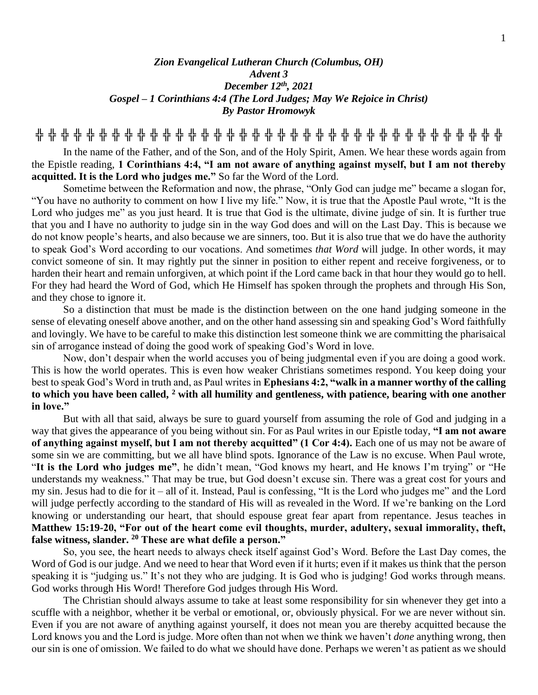## *Zion Evangelical Lutheran Church (Columbus, OH) Advent 3 December 12th, 2021 Gospel – 1 Corinthians 4:4 (The Lord Judges; May We Rejoice in Christ) By Pastor Hromowyk*

**╬ ╬ ╬ ╬ ╬ ╬ ╬ ╬ ╬ ╬ ╬ ╬ ╬ ╬ ╬ ╬ ╬ ╬ ╬ ╬ ╬ ╬ ╬ ╬ ╬ ╬ ╬ ╬ ╬ ╬ ╬ ╬ ╬ ╬ ╬ ╬ ╬**

In the name of the Father, and of the Son, and of the Holy Spirit, Amen. We hear these words again from the Epistle reading, **1 Corinthians 4:4, "I am not aware of anything against myself, but I am not thereby acquitted. It is the Lord who judges me."** So far the Word of the Lord.

Sometime between the Reformation and now, the phrase, "Only God can judge me" became a slogan for, "You have no authority to comment on how I live my life." Now, it is true that the Apostle Paul wrote, "It is the Lord who judges me" as you just heard. It is true that God is the ultimate, divine judge of sin. It is further true that you and I have no authority to judge sin in the way God does and will on the Last Day. This is because we do not know people's hearts, and also because we are sinners, too. But it is also true that we do have the authority to speak God's Word according to our vocations. And sometimes *that Word* will judge. In other words, it may convict someone of sin. It may rightly put the sinner in position to either repent and receive forgiveness, or to harden their heart and remain unforgiven, at which point if the Lord came back in that hour they would go to hell. For they had heard the Word of God, which He Himself has spoken through the prophets and through His Son, and they chose to ignore it.

So a distinction that must be made is the distinction between on the one hand judging someone in the sense of elevating oneself above another, and on the other hand assessing sin and speaking God's Word faithfully and lovingly. We have to be careful to make this distinction lest someone think we are committing the pharisaical sin of arrogance instead of doing the good work of speaking God's Word in love.

Now, don't despair when the world accuses you of being judgmental even if you are doing a good work. This is how the world operates. This is even how weaker Christians sometimes respond. You keep doing your best to speak God's Word in truth and, as Paul writes in **Ephesians 4:2, "walk in a manner worthy of the calling to which you have been called, <sup>2</sup> with all humility and gentleness, with patience, bearing with one another in love."**

But with all that said, always be sure to guard yourself from assuming the role of God and judging in a way that gives the appearance of you being without sin. For as Paul writes in our Epistle today, **"I am not aware of anything against myself, but I am not thereby acquitted" (1 Cor 4:4).** Each one of us may not be aware of some sin we are committing, but we all have blind spots. Ignorance of the Law is no excuse. When Paul wrote, "**It is the Lord who judges me"**, he didn't mean, "God knows my heart, and He knows I'm trying" or "He understands my weakness." That may be true, but God doesn't excuse sin. There was a great cost for yours and my sin. Jesus had to die for it – all of it. Instead, Paul is confessing, "It is the Lord who judges me" and the Lord will judge perfectly according to the standard of His will as revealed in the Word. If we're banking on the Lord knowing or understanding our heart, that should espouse great fear apart from repentance. Jesus teaches in **Matthew 15:19-20, "For out of the heart come evil thoughts, murder, adultery, sexual immorality, theft, false witness, slander. <sup>20</sup> These are what defile a person."**

So, you see, the heart needs to always check itself against God's Word. Before the Last Day comes, the Word of God is our judge. And we need to hear that Word even if it hurts; even if it makes us think that the person speaking it is "judging us." It's not they who are judging. It is God who is judging! God works through means. God works through His Word! Therefore God judges through His Word.

The Christian should always assume to take at least some responsibility for sin whenever they get into a scuffle with a neighbor, whether it be verbal or emotional, or, obviously physical. For we are never without sin. Even if you are not aware of anything against yourself, it does not mean you are thereby acquitted because the Lord knows you and the Lord is judge. More often than not when we think we haven't *done* anything wrong, then our sin is one of omission. We failed to do what we should have done. Perhaps we weren't as patient as we should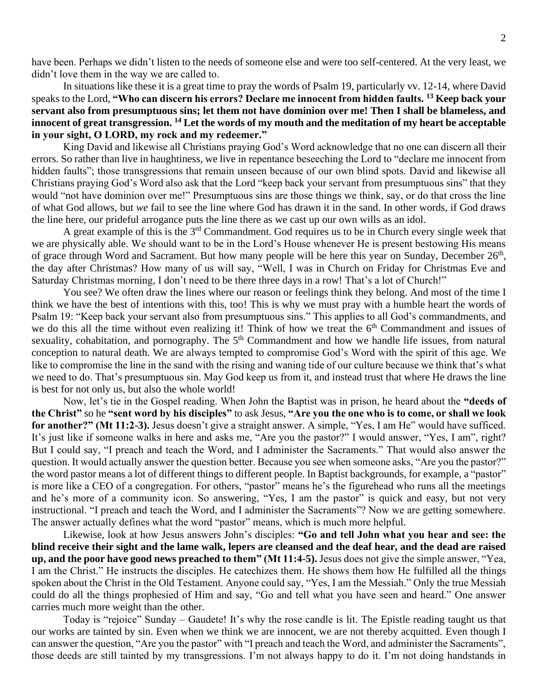have been. Perhaps we didn't listen to the needs of someone else and were too self-centered. At the very least, we didn't love them in the way we are called to.

In situations like these it is a great time to pray the words of Psalm 19, particularly vv. 12-14, where David speaks to the Lord, **"Who can discern his errors? Declare me innocent from hidden faults. <sup>13</sup> Keep back your servant also from presumptuous sins; let them not have dominion over me! Then I shall be blameless, and innocent of great transgression. <sup>14</sup> Let the words of my mouth and the meditation of my heart be acceptable in your sight, O LORD, my rock and my redeemer."**

King David and likewise all Christians praying God's Word acknowledge that no one can discern all their errors. So rather than live in haughtiness, we live in repentance beseeching the Lord to "declare me innocent from hidden faults"; those transgressions that remain unseen because of our own blind spots. David and likewise all Christians praying God's Word also ask that the Lord "keep back your servant from presumptuous sins" that they would "not have dominion over me!" Presumptuous sins are those things we think, say, or do that cross the line of what God allows, but *we* fail to see the line where God has drawn it in the sand. In other words, if God draws the line here, our prideful arrogance puts the line there as we cast up our own wills as an idol.

A great example of this is the 3rd Commandment. God requires us to be in Church every single week that we are physically able. We should want to be in the Lord's House whenever He is present bestowing His means of grace through Word and Sacrament. But how many people will be here this year on Sunday, December 26<sup>th</sup>, the day after Christmas? How many of us will say, "Well, I was in Church on Friday for Christmas Eve and Saturday Christmas morning, I don't need to be there three days in a row! That's a lot of Church!"

You see? We often draw the lines where our reason or feelings think they belong. And most of the time I think we have the best of intentions with this, too! This is why we must pray with a humble heart the words of Psalm 19: "Keep back your servant also from presumptuous sins." This applies to all God's commandments, and we do this all the time without even realizing it! Think of how we treat the 6<sup>th</sup> Commandment and issues of sexuality, cohabitation, and pornography. The 5<sup>th</sup> Commandment and how we handle life issues, from natural conception to natural death. We are always tempted to compromise God's Word with the spirit of this age. We like to compromise the line in the sand with the rising and waning tide of our culture because we think that's what we need to do. That's presumptuous sin. May God keep us from it, and instead trust that where He draws the line is best for not only us, but also the whole world!

Now, let's tie in the Gospel reading. When John the Baptist was in prison, he heard about the **"deeds of the Christ"** so he **"sent word by his disciples"** to ask Jesus, **"Are you the one who is to come, or shall we look for another?" (Mt 11:2-3).** Jesus doesn't give a straight answer. A simple, "Yes, I am He" would have sufficed. It's just like if someone walks in here and asks me, "Are you the pastor?" I would answer, "Yes, I am", right? But I could say, "I preach and teach the Word, and I administer the Sacraments." That would also answer the question. It would actually answer the question better. Because you see when someone asks, "Are you the pastor?" the word pastor means a lot of different things to different people. In Baptist backgrounds, for example, a "pastor" is more like a CEO of a congregation. For others, "pastor" means he's the figurehead who runs all the meetings and he's more of a community icon. So answering, "Yes, I am the pastor" is quick and easy, but not very instructional. "I preach and teach the Word, and I administer the Sacraments"? Now we are getting somewhere. The answer actually defines what the word "pastor" means, which is much more helpful.

Likewise, look at how Jesus answers John's disciples: **"Go and tell John what you hear and see: the blind receive their sight and the lame walk, lepers are cleansed and the deaf hear, and the dead are raised up, and the poor have good news preached to them" (Mt 11:4-5).** Jesus does not give the simple answer, "Yea, I am the Christ." He instructs the disciples. He catechizes them. He shows them how He fulfilled all the things spoken about the Christ in the Old Testament. Anyone could say, "Yes, I am the Messiah." Only the true Messiah could do all the things prophesied of Him and say, "Go and tell what you have seen and heard." One answer carries much more weight than the other.

Today is "rejoice" Sunday – Gaudete! It's why the rose candle is lit. The Epistle reading taught us that our works are tainted by sin. Even when we think we are innocent, we are not thereby acquitted. Even though I can answer the question, "Are you the pastor" with "I preach and teach the Word, and administer the Sacraments", those deeds are still tainted by my transgressions. I'm not always happy to do it. I'm not doing handstands in